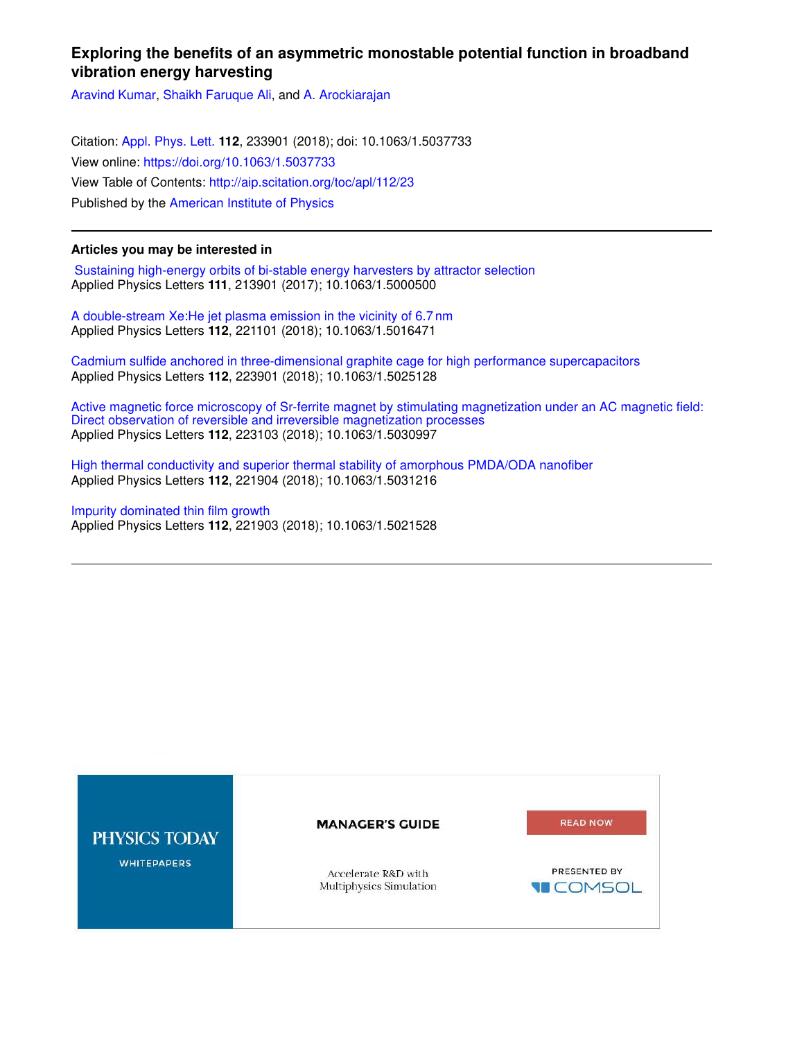## **Exploring the benefits of an asymmetric monostable potential function in broadband vibration energy harvesting**

Aravind Kumar, Shaikh Faruque Ali, and A. Arockiarajan

Citation: Appl. Phys. Lett. **112**, 233901 (2018); doi: 10.1063/1.5037733 View online: https://doi.org/10.1063/1.5037733 View Table of Contents: http://aip.scitation.org/toc/apl/112/23 Published by the American Institute of Physics

## **Articles you may be interested in**

 Sustaining high-energy orbits of bi-stable energy harvesters by attractor selection Applied Physics Letters **111**, 213901 (2017); 10.1063/1.5000500

A double-stream Xe:He jet plasma emission in the vicinity of 6.7 nm Applied Physics Letters **112**, 221101 (2018); 10.1063/1.5016471

Cadmium sulfide anchored in three-dimensional graphite cage for high performance supercapacitors Applied Physics Letters **112**, 223901 (2018); 10.1063/1.5025128

Active magnetic force microscopy of Sr-ferrite magnet by stimulating magnetization under an AC magnetic field: Direct observation of reversible and irreversible magnetization processes Applied Physics Letters **112**, 223103 (2018); 10.1063/1.5030997

High thermal conductivity and superior thermal stability of amorphous PMDA/ODA nanofiber Applied Physics Letters **112**, 221904 (2018); 10.1063/1.5031216

## Impurity dominated thin film growth Applied Physics Letters **112**, 221903 (2018); 10.1063/1.5021528

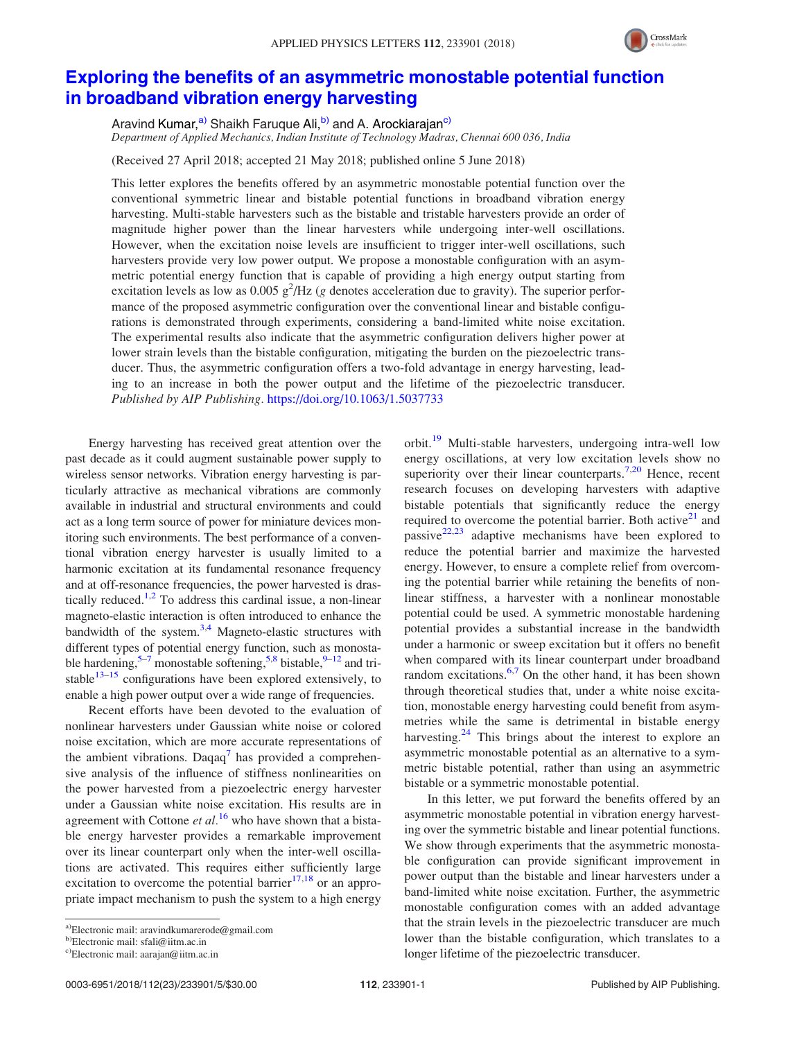

## Exploring the benefits of an asymmetric monostable potential function in broadband vibration energy harvesting

Aravind Kumar,<sup>a)</sup> Shaikh Faruque Ali,<sup>b)</sup> and A. Arockiarajan<sup>c)</sup> Department of Applied Mechanics, Indian Institute of Technology Madras, Chennai 600 036, India

(Received 27 April 2018; accepted 21 May 2018; published online 5 June 2018)

This letter explores the benefits offered by an asymmetric monostable potential function over the conventional symmetric linear and bistable potential functions in broadband vibration energy harvesting. Multi-stable harvesters such as the bistable and tristable harvesters provide an order of magnitude higher power than the linear harvesters while undergoing inter-well oscillations. However, when the excitation noise levels are insufficient to trigger inter-well oscillations, such harvesters provide very low power output. We propose a monostable configuration with an asymmetric potential energy function that is capable of providing a high energy output starting from excitation levels as low as  $0.005$   $g^2$ /Hz (g denotes acceleration due to gravity). The superior performance of the proposed asymmetric configuration over the conventional linear and bistable configurations is demonstrated through experiments, considering a band-limited white noise excitation. The experimental results also indicate that the asymmetric configuration delivers higher power at lower strain levels than the bistable configuration, mitigating the burden on the piezoelectric transducer. Thus, the asymmetric configuration offers a two-fold advantage in energy harvesting, leading to an increase in both the power output and the lifetime of the piezoelectric transducer. Published by AIP Publishing. https://doi.org/10.1063/1.5037733

Energy harvesting has received great attention over the past decade as it could augment sustainable power supply to wireless sensor networks. Vibration energy harvesting is particularly attractive as mechanical vibrations are commonly available in industrial and structural environments and could act as a long term source of power for miniature devices monitoring such environments. The best performance of a conventional vibration energy harvester is usually limited to a harmonic excitation at its fundamental resonance frequency and at off-resonance frequencies, the power harvested is drastically reduced.<sup>1,2</sup> To address this cardinal issue, a non-linear magneto-elastic interaction is often introduced to enhance the bandwidth of the system. $3,4$  Magneto-elastic structures with different types of potential energy function, such as monostable hardening,<sup>5-7</sup> monostable softening,<sup>5,8</sup> bistable,<sup>9-12</sup> and tristable $13-15$  configurations have been explored extensively, to enable a high power output over a wide range of frequencies.

Recent efforts have been devoted to the evaluation of nonlinear harvesters under Gaussian white noise or colored noise excitation, which are more accurate representations of the ambient vibrations. Daqaq<sup>7</sup> has provided a comprehensive analysis of the influence of stiffness nonlinearities on the power harvested from a piezoelectric energy harvester under a Gaussian white noise excitation. His results are in agreement with Cottone et  $al<sup>16</sup>$  who have shown that a bistable energy harvester provides a remarkable improvement over its linear counterpart only when the inter-well oscillations are activated. This requires either sufficiently large excitation to overcome the potential barrier $17,18$  or an appropriate impact mechanism to push the system to a high energy

orbit.<sup>19</sup> Multi-stable harvesters, undergoing intra-well low energy oscillations, at very low excitation levels show no superiority over their linear counterparts.<sup>7,20</sup> Hence, recent research focuses on developing harvesters with adaptive bistable potentials that significantly reduce the energy required to overcome the potential barrier. Both active $21$  and passive $22,23$  adaptive mechanisms have been explored to reduce the potential barrier and maximize the harvested energy. However, to ensure a complete relief from overcoming the potential barrier while retaining the benefits of nonlinear stiffness, a harvester with a nonlinear monostable potential could be used. A symmetric monostable hardening potential provides a substantial increase in the bandwidth under a harmonic or sweep excitation but it offers no benefit when compared with its linear counterpart under broadband random excitations. $6,7$  On the other hand, it has been shown through theoretical studies that, under a white noise excitation, monostable energy harvesting could benefit from asymmetries while the same is detrimental in bistable energy harvesting.<sup>24</sup> This brings about the interest to explore an asymmetric monostable potential as an alternative to a symmetric bistable potential, rather than using an asymmetric bistable or a symmetric monostable potential.

In this letter, we put forward the benefits offered by an asymmetric monostable potential in vibration energy harvesting over the symmetric bistable and linear potential functions. We show through experiments that the asymmetric monostable configuration can provide significant improvement in power output than the bistable and linear harvesters under a band-limited white noise excitation. Further, the asymmetric monostable configuration comes with an added advantage that the strain levels in the piezoelectric transducer are much lower than the bistable configuration, which translates to a longer lifetime of the piezoelectric transducer.

a)Electronic mail: aravindkumarerode@gmail.com

b)Electronic mail: sfali@iitm.ac.in

c)Electronic mail: aarajan@iitm.ac.in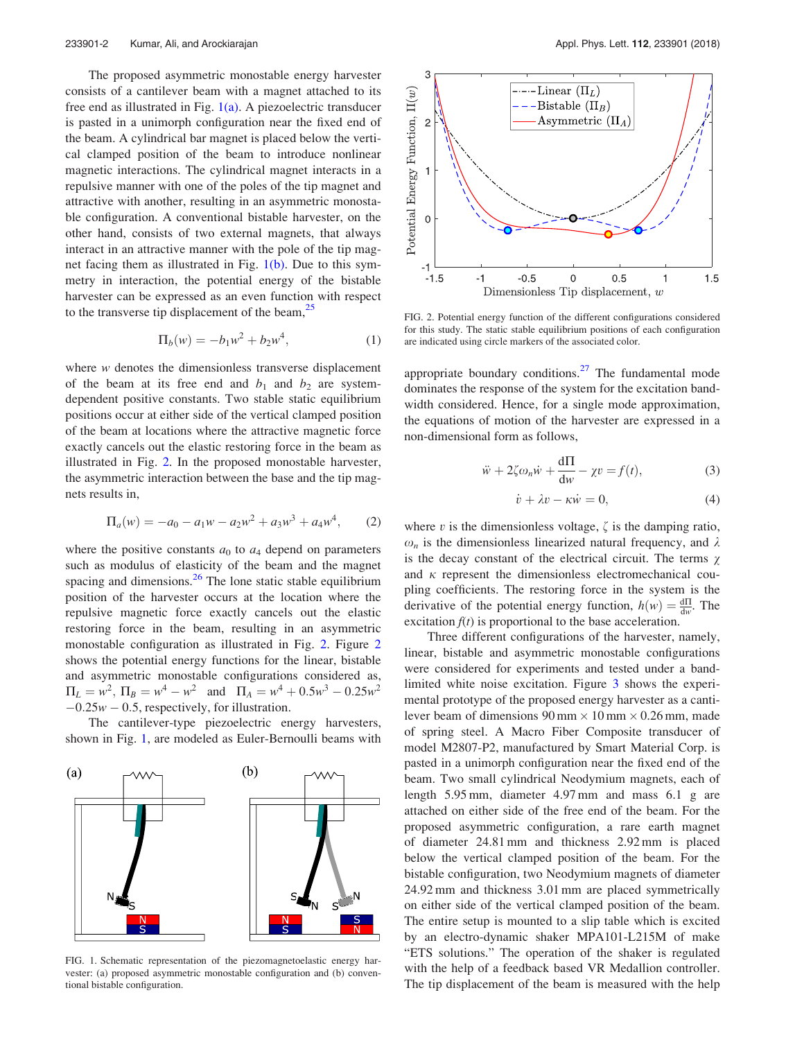The proposed asymmetric monostable energy harvester consists of a cantilever beam with a magnet attached to its free end as illustrated in Fig.  $1(a)$ . A piezoelectric transducer is pasted in a unimorph configuration near the fixed end of the beam. A cylindrical bar magnet is placed below the vertical clamped position of the beam to introduce nonlinear magnetic interactions. The cylindrical magnet interacts in a repulsive manner with one of the poles of the tip magnet and attractive with another, resulting in an asymmetric monostable configuration. A conventional bistable harvester, on the other hand, consists of two external magnets, that always interact in an attractive manner with the pole of the tip magnet facing them as illustrated in Fig.  $1(b)$ . Due to this symmetry in interaction, the potential energy of the bistable harvester can be expressed as an even function with respect to the transverse tip displacement of the beam, $2<sup>5</sup>$ 

$$
\Pi_b(w) = -b_1 w^2 + b_2 w^4, \tag{1}
$$

where w denotes the dimensionless transverse displacement of the beam at its free end and  $b_1$  and  $b_2$  are systemdependent positive constants. Two stable static equilibrium positions occur at either side of the vertical clamped position of the beam at locations where the attractive magnetic force exactly cancels out the elastic restoring force in the beam as illustrated in Fig. 2. In the proposed monostable harvester, the asymmetric interaction between the base and the tip magnets results in,

$$
\Pi_a(w) = -a_0 - a_1 w - a_2 w^2 + a_3 w^3 + a_4 w^4, \qquad (2)
$$

where the positive constants  $a_0$  to  $a_4$  depend on parameters such as modulus of elasticity of the beam and the magnet spacing and dimensions.<sup>26</sup> The lone static stable equilibrium position of the harvester occurs at the location where the repulsive magnetic force exactly cancels out the elastic restoring force in the beam, resulting in an asymmetric monostable configuration as illustrated in Fig. 2. Figure 2 shows the potential energy functions for the linear, bistable and asymmetric monostable configurations considered as,  $\Pi_L = w^2$ ,  $\Pi_B = w^4 - w^2$  and  $\Pi_A = w^4 + 0.5w^3 - 0.25w^2$  $-0.25w - 0.5$ , respectively, for illustration.

The cantilever-type piezoelectric energy harvesters, shown in Fig. 1, are modeled as Euler-Bernoulli beams with



FIG. 1. Schematic representation of the piezomagnetoelastic energy harvester: (a) proposed asymmetric monostable configuration and (b) conventional bistable configuration.



FIG. 2. Potential energy function of the different configurations considered for this study. The static stable equilibrium positions of each configuration are indicated using circle markers of the associated color.

appropriate boundary conditions. $27$  The fundamental mode dominates the response of the system for the excitation bandwidth considered. Hence, for a single mode approximation, the equations of motion of the harvester are expressed in a non-dimensional form as follows,

$$
\ddot{w} + 2\zeta \omega_n \dot{w} + \frac{d\Pi}{dw} - \chi v = f(t),
$$
\n(3)

$$
\dot{v} + \lambda v - \kappa \dot{w} = 0,\tag{4}
$$

where v is the dimensionless voltage,  $\zeta$  is the damping ratio,  $\omega_n$  is the dimensionless linearized natural frequency, and  $\lambda$ is the decay constant of the electrical circuit. The terms  $\gamma$ and  $\kappa$  represent the dimensionless electromechanical coupling coefficients. The restoring force in the system is the derivative of the potential energy function,  $h(w) = \frac{d\Pi}{dw}$ . The excitation  $f(t)$  is proportional to the base acceleration.

Three different configurations of the harvester, namely, linear, bistable and asymmetric monostable configurations were considered for experiments and tested under a bandlimited white noise excitation. Figure 3 shows the experimental prototype of the proposed energy harvester as a cantilever beam of dimensions  $90 \text{ mm} \times 10 \text{ mm} \times 0.26 \text{ mm}$ , made of spring steel. A Macro Fiber Composite transducer of model M2807-P2, manufactured by Smart Material Corp. is pasted in a unimorph configuration near the fixed end of the beam. Two small cylindrical Neodymium magnets, each of length 5.95 mm, diameter 4.97 mm and mass 6.1 g are attached on either side of the free end of the beam. For the proposed asymmetric configuration, a rare earth magnet of diameter 24.81 mm and thickness 2.92 mm is placed below the vertical clamped position of the beam. For the bistable configuration, two Neodymium magnets of diameter 24.92 mm and thickness 3.01 mm are placed symmetrically on either side of the vertical clamped position of the beam. The entire setup is mounted to a slip table which is excited by an electro-dynamic shaker MPA101-L215M of make "ETS solutions." The operation of the shaker is regulated with the help of a feedback based VR Medallion controller. The tip displacement of the beam is measured with the help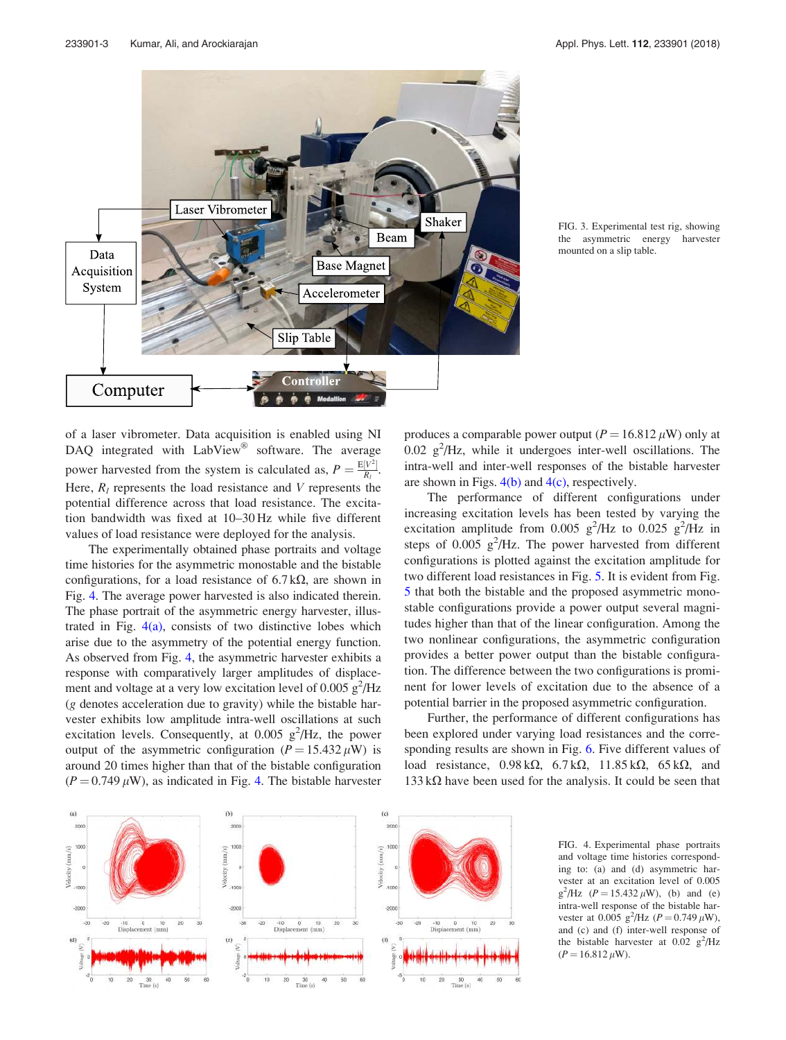

FIG. 3. Experimental test rig, showing the asymmetric energy harvester mounted on a slip table.

of a laser vibrometer. Data acquisition is enabled using NI DAQ integrated with  $LabView^{\circledR}$  software. The average power harvested from the system is calculated as,  $P = \frac{E[V^2]}{R}$  $\frac{V}{R_l}$ . Here,  $R_l$  represents the load resistance and V represents the potential difference across that load resistance. The excitation bandwidth was fixed at 10–30 Hz while five different values of load resistance were deployed for the analysis.

The experimentally obtained phase portraits and voltage time histories for the asymmetric monostable and the bistable configurations, for a load resistance of  $6.7 \text{ k}\Omega$ , are shown in Fig. 4. The average power harvested is also indicated therein. The phase portrait of the asymmetric energy harvester, illustrated in Fig.  $4(a)$ , consists of two distinctive lobes which arise due to the asymmetry of the potential energy function. As observed from Fig. 4, the asymmetric harvester exhibits a response with comparatively larger amplitudes of displacement and voltage at a very low excitation level of  $0.005 \text{ g}^2/\text{Hz}$ (g denotes acceleration due to gravity) while the bistable harvester exhibits low amplitude intra-well oscillations at such excitation levels. Consequently, at  $0.005 \text{ g}^2/\text{Hz}$ , the power output of the asymmetric configuration ( $P = 15.432 \mu W$ ) is around 20 times higher than that of the bistable configuration  $(P = 0.749 \,\mu\text{W})$ , as indicated in Fig. 4. The bistable harvester produces a comparable power output ( $P = 16.812 \,\mu$ W) only at  $0.02 \text{ g}^2/\text{Hz}$ , while it undergoes inter-well oscillations. The intra-well and inter-well responses of the bistable harvester are shown in Figs.  $4(b)$  and  $4(c)$ , respectively.

The performance of different configurations under increasing excitation levels has been tested by varying the excitation amplitude from 0.005  $g^2$ /Hz to 0.025  $g^2$ /Hz in steps of  $0.005$   $g^2$ /Hz. The power harvested from different configurations is plotted against the excitation amplitude for two different load resistances in Fig. 5. It is evident from Fig. 5 that both the bistable and the proposed asymmetric monostable configurations provide a power output several magnitudes higher than that of the linear configuration. Among the two nonlinear configurations, the asymmetric configuration provides a better power output than the bistable configuration. The difference between the two configurations is prominent for lower levels of excitation due to the absence of a potential barrier in the proposed asymmetric configuration.

Further, the performance of different configurations has been explored under varying load resistances and the corresponding results are shown in Fig. 6. Five different values of load resistance,  $0.98 \text{ k}\Omega$ ,  $6.7 \text{ k}\Omega$ ,  $11.85 \text{ k}\Omega$ ,  $65 \text{ k}\Omega$ , and  $133 \text{ k}\Omega$  have been used for the analysis. It could be seen that



FIG. 4. Experimental phase portraits and voltage time histories corresponding to: (a) and (d) asymmetric harvester at an excitation level of 0.005  $g^2$ /Hz (*P* = 15.432  $\mu$ W), (b) and (e) intra-well response of the bistable harvester at 0.005  $g^2$ /Hz (*P* = 0.749  $\mu$ W), and (c) and (f) inter-well response of the bistable harvester at  $0.02 \text{ g}^2/\text{Hz}$  $(P = 16.812 \,\mu\text{W}).$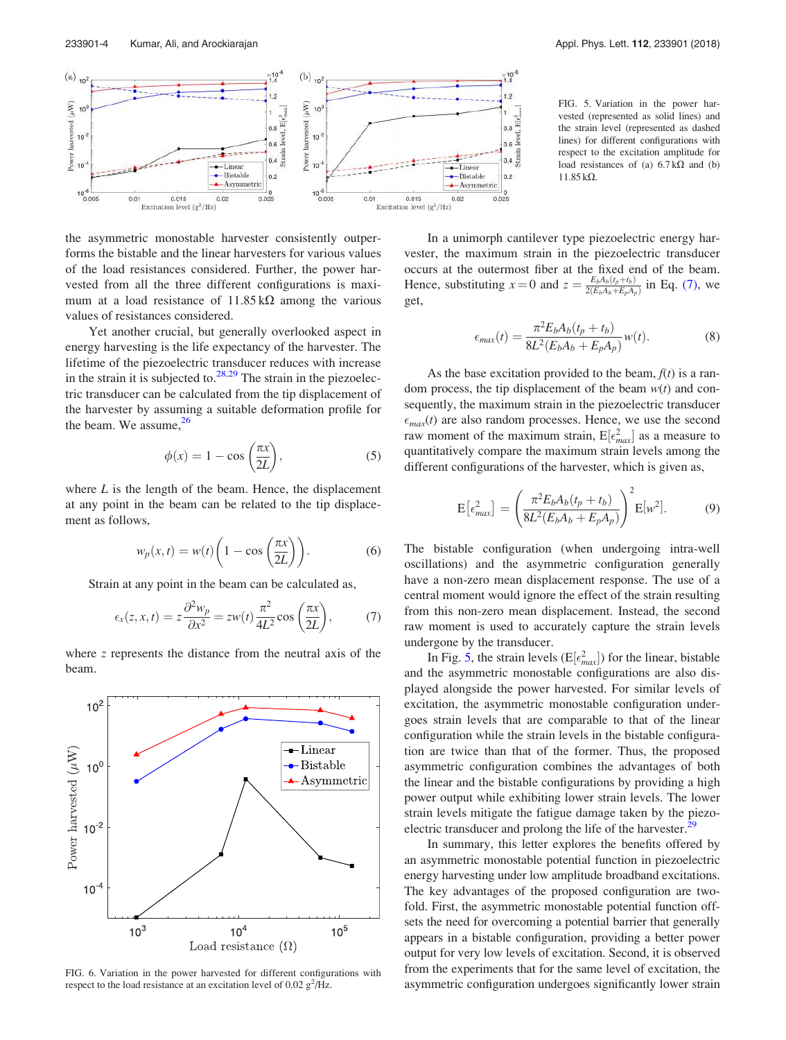

the asymmetric monostable harvester consistently outperforms the bistable and the linear harvesters for various values of the load resistances considered. Further, the power harvested from all the three different configurations is maximum at a load resistance of  $11.85 \text{ k}\Omega$  among the various values of resistances considered.

Yet another crucial, but generally overlooked aspect in energy harvesting is the life expectancy of the harvester. The lifetime of the piezoelectric transducer reduces with increase in the strain it is subjected to. $^{28,29}$  The strain in the piezoelectric transducer can be calculated from the tip displacement of the harvester by assuming a suitable deformation profile for the beam. We assume, $26$ 

$$
\phi(x) = 1 - \cos\left(\frac{\pi x}{2L}\right),\tag{5}
$$

where  $L$  is the length of the beam. Hence, the displacement at any point in the beam can be related to the tip displacement as follows,

$$
w_p(x,t) = w(t) \left( 1 - \cos\left(\frac{\pi x}{2L}\right) \right).
$$
 (6)

Strain at any point in the beam can be calculated as,

$$
\epsilon_x(z, x, t) = z \frac{\partial^2 w_p}{\partial x^2} = zw(t) \frac{\pi^2}{4L^2} \cos\left(\frac{\pi x}{2L}\right),\tag{7}
$$

where z represents the distance from the neutral axis of the beam.



FIG. 6. Variation in the power harvested for different configurations with respect to the load resistance at an excitation level of  $0.02$   $g^2$ /Hz.

FIG. 5. Variation in the power harvested (represented as solid lines) and the strain level (represented as dashed lines) for different configurations with respect to the excitation amplitude for load resistances of (a)  $6.7 \text{ k}\Omega$  and (b)  $11.85 k\Omega$ .

In a unimorph cantilever type piezoelectric energy harvester, the maximum strain in the piezoelectric transducer occurs at the outermost fiber at the fixed end of the beam. Hence, substituting  $x = 0$  and  $z = \frac{E_b A_b(t_p + t_b)}{2(F_b A_b + F_a A_b)}$  $\frac{E_b A_b (t_p + t_b)}{2(E_b A_b + E_p A_p)}$  in Eq. (7), we get,

$$
\epsilon_{max}(t) = \frac{\pi^2 E_b A_b(t_p + t_b)}{8L^2(E_b A_b + E_p A_p)} w(t).
$$
 (8)

As the base excitation provided to the beam,  $f(t)$  is a random process, the tip displacement of the beam  $w(t)$  and consequently, the maximum strain in the piezoelectric transducer  $\epsilon_{max}(t)$  are also random processes. Hence, we use the second raw moment of the maximum strain,  $E[\epsilon_{max}^2]$  as a measure to quantitatively compare the maximum strain levels among the different configurations of the harvester, which is given as,

$$
E\left[\epsilon_{max}^2\right] = \left(\frac{\pi^2 E_b A_b(t_p + t_b)}{8L^2(E_b A_b + E_p A_p)}\right)^2 E[w^2].\tag{9}
$$

The bistable configuration (when undergoing intra-well oscillations) and the asymmetric configuration generally have a non-zero mean displacement response. The use of a central moment would ignore the effect of the strain resulting from this non-zero mean displacement. Instead, the second raw moment is used to accurately capture the strain levels undergone by the transducer.

In Fig. 5, the strain levels ( $E[\epsilon_{max}^2]$ ) for the linear, bistable and the asymmetric monostable configurations are also displayed alongside the power harvested. For similar levels of excitation, the asymmetric monostable configuration undergoes strain levels that are comparable to that of the linear configuration while the strain levels in the bistable configuration are twice than that of the former. Thus, the proposed asymmetric configuration combines the advantages of both the linear and the bistable configurations by providing a high power output while exhibiting lower strain levels. The lower strain levels mitigate the fatigue damage taken by the piezoelectric transducer and prolong the life of the harvester.<sup>2</sup>

In summary, this letter explores the benefits offered by an asymmetric monostable potential function in piezoelectric energy harvesting under low amplitude broadband excitations. The key advantages of the proposed configuration are twofold. First, the asymmetric monostable potential function offsets the need for overcoming a potential barrier that generally appears in a bistable configuration, providing a better power output for very low levels of excitation. Second, it is observed from the experiments that for the same level of excitation, the asymmetric configuration undergoes significantly lower strain